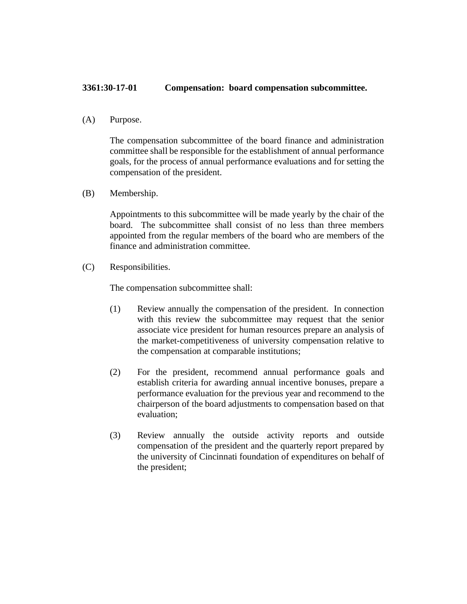## **3361:30-17-01 Compensation: board compensation subcommittee.**

(A) Purpose.

The compensation subcommittee of the board finance and administration committee shall be responsible for the establishment of annual performance goals, for the process of annual performance evaluations and for setting the compensation of the president.

(B) Membership.

Appointments to this subcommittee will be made yearly by the chair of the board. The subcommittee shall consist of no less than three members appointed from the regular members of the board who are members of the finance and administration committee.

(C) Responsibilities.

The compensation subcommittee shall:

- (1) Review annually the compensation of the president. In connection with this review the subcommittee may request that the senior associate vice president for human resources prepare an analysis of the market-competitiveness of university compensation relative to the compensation at comparable institutions;
- (2) For the president, recommend annual performance goals and establish criteria for awarding annual incentive bonuses, prepare a performance evaluation for the previous year and recommend to the chairperson of the board adjustments to compensation based on that evaluation;
- (3) Review annually the outside activity reports and outside compensation of the president and the quarterly report prepared by the university of Cincinnati foundation of expenditures on behalf of the president;